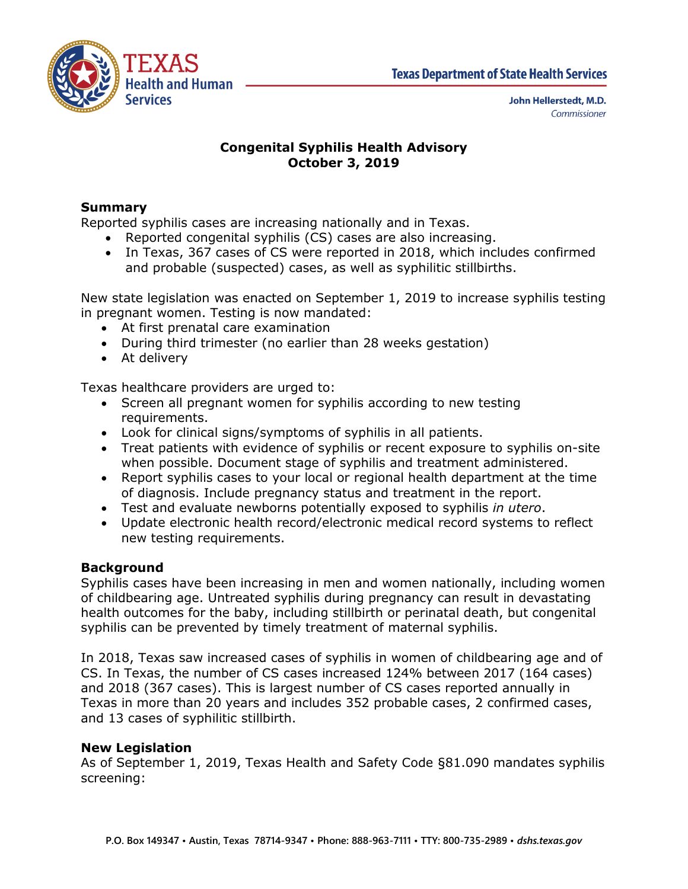

# **Congenital Syphilis Health Advisory October 3, 2019**

## **Summary**

Reported syphilis cases are increasing nationally and in Texas.

- Reported congenital syphilis (CS) cases are also increasing.
- In Texas, 367 cases of CS were reported in 2018, which includes confirmed and probable (suspected) cases, as well as syphilitic stillbirths.

New state legislation was enacted on September 1, 2019 to increase syphilis testing in pregnant women. Testing is now mandated:

- At first prenatal care examination
- During third trimester (no earlier than 28 weeks gestation)
- At delivery

Texas healthcare providers are urged to:

- Screen all pregnant women for syphilis according to new testing requirements.
- Look for clinical signs/symptoms of syphilis in all patients.
- Treat patients with evidence of syphilis or recent exposure to syphilis on-site when possible. Document stage of syphilis and treatment administered.
- Report syphilis cases to your local or regional health department at the time of diagnosis. Include pregnancy status and treatment in the report.
- Test and evaluate newborns potentially exposed to syphilis *in utero*.
- Update electronic health record/electronic medical record systems to reflect new testing requirements.

## **Background**

Syphilis cases have been increasing in men and women nationally, including women of childbearing age. Untreated syphilis during pregnancy can result in devastating health outcomes for the baby, including stillbirth or perinatal death, but congenital syphilis can be prevented by timely treatment of maternal syphilis.

In 2018, Texas saw increased cases of syphilis in women of childbearing age and of CS. In Texas, the number of CS cases increased 124% between 2017 (164 cases) and 2018 (367 cases). This is largest number of CS cases reported annually in Texas in more than 20 years and includes 352 probable cases, 2 confirmed cases, and 13 cases of syphilitic stillbirth.

#### **New Legislation**

As of September 1, 2019, Texas Health and Safety Code §81.090 mandates syphilis screening: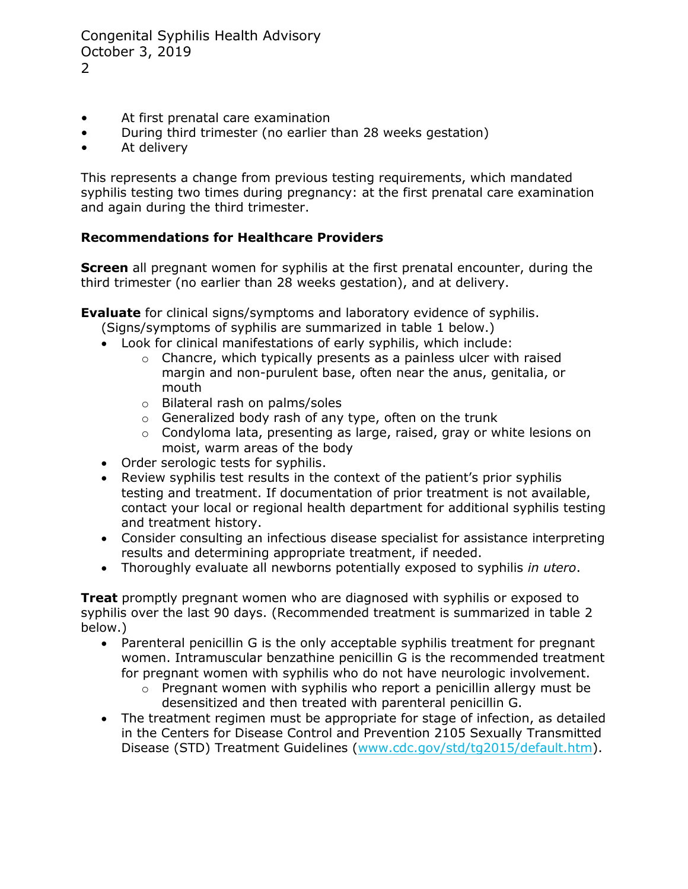Congenital Syphilis Health Advisory October 3, 2019 2

- At first prenatal care examination
- During third trimester (no earlier than 28 weeks gestation)
- At delivery

This represents a change from previous testing requirements, which mandated syphilis testing two times during pregnancy: at the first prenatal care examination and again during the third trimester.

## **Recommendations for Healthcare Providers**

**Screen** all pregnant women for syphilis at the first prenatal encounter, during the third trimester (no earlier than 28 weeks gestation), and at delivery.

**Evaluate** for clinical signs/symptoms and laboratory evidence of syphilis.

- (Signs/symptoms of syphilis are summarized in table 1 below.)
- Look for clinical manifestations of early syphilis, which include:
	- o Chancre, which typically presents as a painless ulcer with raised margin and non-purulent base, often near the anus, genitalia, or mouth
	- o Bilateral rash on palms/soles
	- o Generalized body rash of any type, often on the trunk
	- o Condyloma lata, presenting as large, raised, gray or white lesions on moist, warm areas of the body
- Order serologic tests for syphilis.
- Review syphilis test results in the context of the patient's prior syphilis testing and treatment. If documentation of prior treatment is not available, contact your local or regional health department for additional syphilis testing and treatment history.
- Consider consulting an infectious disease specialist for assistance interpreting results and determining appropriate treatment, if needed.
- Thoroughly evaluate all newborns potentially exposed to syphilis *in utero*.

**Treat** promptly pregnant women who are diagnosed with syphilis or exposed to syphilis over the last 90 days. (Recommended treatment is summarized in table 2 below.)

- Parenteral penicillin G is the only acceptable syphilis treatment for pregnant women. Intramuscular benzathine penicillin G is the recommended treatment for pregnant women with syphilis who do not have neurologic involvement.
	- $\circ$  Pregnant women with syphilis who report a penicillin allergy must be desensitized and then treated with parenteral penicillin G.
- The treatment regimen must be appropriate for stage of infection, as detailed in the Centers for Disease Control and Prevention 2105 Sexually Transmitted Disease (STD) Treatment Guidelines [\(www.cdc.gov/std/tg2015/default.htm\)](http://www.cdc.gov/std/tg2015/default.htm).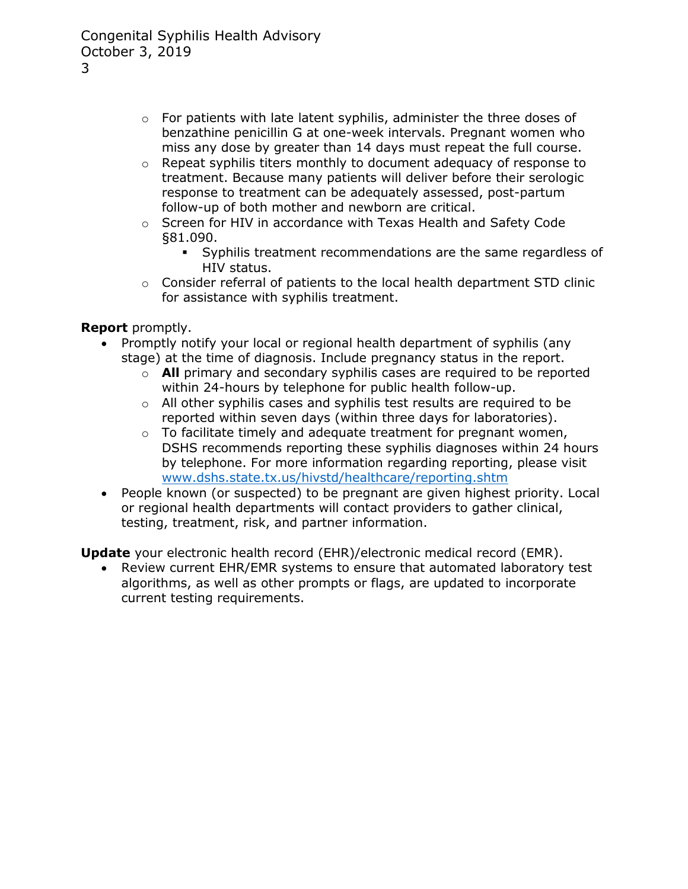- o For patients with late latent syphilis, administer the three doses of benzathine penicillin G at one-week intervals. Pregnant women who miss any dose by greater than 14 days must repeat the full course.
- $\circ$  Repeat syphilis titers monthly to document adequacy of response to treatment. Because many patients will deliver before their serologic response to treatment can be adequately assessed, post-partum follow-up of both mother and newborn are critical.
- o Screen for HIV in accordance with [Texas Health and Safety Code](https://statutes.capitol.texas.gov/Docs/HS/htm/HS.81.htm)  [§81.090.](https://statutes.capitol.texas.gov/Docs/HS/htm/HS.81.htm)
	- Syphilis treatment recommendations are the same regardless of HIV status.
- o Consider referral of patients to the local health department STD clinic for assistance with syphilis treatment.

**Report** promptly.

- Promptly notify your local or regional health department of syphilis (any stage) at the time of diagnosis. Include pregnancy status in the report.
	- o **All** primary and secondary syphilis cases are required to be reported within 24-hours by telephone for public health follow-up.
	- $\circ$  All other syphilis cases and syphilis test results are required to be reported within seven days (within three days for laboratories).
	- $\circ$  To facilitate timely and adequate treatment for pregnant women, DSHS recommends reporting these syphilis diagnoses within 24 hours by telephone. For more information regarding reporting, please visit [www.dshs.state.tx.us/hivstd/healthcare/reporting.shtm](http://www.dshs.state.tx.us/hivstd/healthcare/reporting.shtm)
- People known (or suspected) to be pregnant are given highest priority. Local or regional health departments will contact providers to gather clinical, testing, treatment, risk, and partner information.

**Update** your electronic health record (EHR)/electronic medical record (EMR).

• Review current EHR/EMR systems to ensure that automated laboratory test algorithms, as well as other prompts or flags, are updated to incorporate current testing requirements.